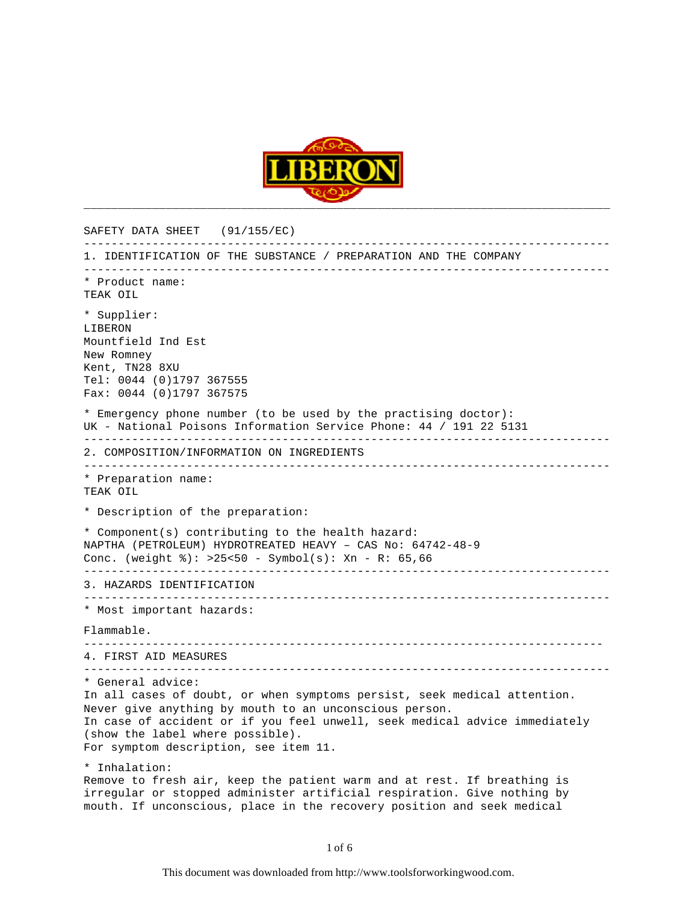

SAFETY DATA SHEET (91/155/EC) ----------------------------------------------------------------------------- 1. IDENTIFICATION OF THE SUBSTANCE / PREPARATION AND THE COMPANY ----------------------------------------------------------------------------- \* Product name: TEAK OIL \* Supplier: LIBERON Mountfield Ind Est New Romney Kent, TN28 8XU Tel: 0044 (0)1797 367555 Fax: 0044 (0)1797 367575 \* Emergency phone number (to be used by the practising doctor): UK - National Poisons Information Service Phone: 44 / 191 22 5131 ----------------------------------------------------------------------------- 2. COMPOSITION/INFORMATION ON INGREDIENTS ----------------------------------------------------------------------------- \* Preparation name: TEAK OIL \* Description of the preparation: \* Component(s) contributing to the health hazard: NAPTHA (PETROLEUM) HYDROTREATED HEAVY – CAS No: 64742-48-9 Conc. (weight %): >25<50 - Symbol(s): Xn - R: 65,66 ----------------------------------------------------------------------------- 3. HAZARDS IDENTIFICATION ----------------------------------------------------------------------------- \* Most important hazards: Flammable. ---------------------------------------------------------------------------- 4. FIRST AID MEASURES ----------------------------------------------------------------------------- \* General advice: In all cases of doubt, or when symptoms persist, seek medical attention. Never give anything by mouth to an unconscious person. In case of accident or if you feel unwell, seek medical advice immediately (show the label where possible). For symptom description, see item 11. \* Inhalation: Remove to fresh air, keep the patient warm and at rest. If breathing is irregular or stopped administer artificial respiration. Give nothing by mouth. If unconscious, place in the recovery position and seek medical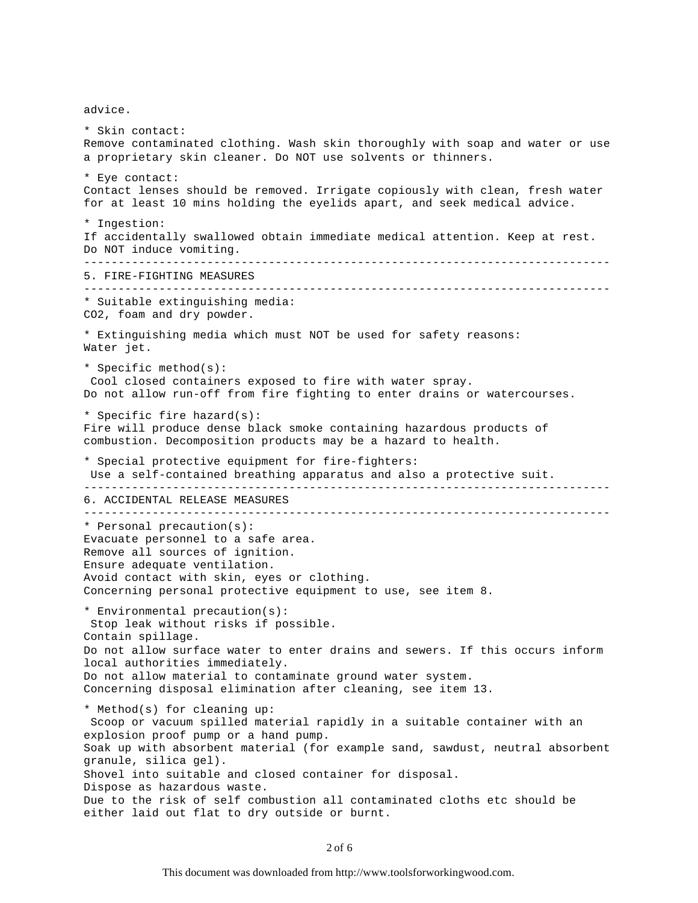advice.

\* Skin contact: Remove contaminated clothing. Wash skin thoroughly with soap and water or use a proprietary skin cleaner. Do NOT use solvents or thinners. \* Eye contact: Contact lenses should be removed. Irrigate copiously with clean, fresh water for at least 10 mins holding the eyelids apart, and seek medical advice. \* Ingestion: If accidentally swallowed obtain immediate medical attention. Keep at rest. Do NOT induce vomiting. ----------------------------------------------------------------------------- 5. FIRE-FIGHTING MEASURES ----------------------------------------------------------------------------- \* Suitable extinguishing media: CO2, foam and dry powder. \* Extinguishing media which must NOT be used for safety reasons: Water jet. \* Specific method(s): Cool closed containers exposed to fire with water spray. Do not allow run-off from fire fighting to enter drains or watercourses. \* Specific fire hazard(s): Fire will produce dense black smoke containing hazardous products of combustion. Decomposition products may be a hazard to health. \* Special protective equipment for fire-fighters: Use a self-contained breathing apparatus and also a protective suit. ----------------------------------------------------------------------------- 6. ACCIDENTAL RELEASE MEASURES ----------------------------------------------------------------------------- \* Personal precaution(s): Evacuate personnel to a safe area. Remove all sources of ignition. Ensure adequate ventilation. Avoid contact with skin, eyes or clothing. Concerning personal protective equipment to use, see item 8. \* Environmental precaution(s): Stop leak without risks if possible. Contain spillage. Do not allow surface water to enter drains and sewers. If this occurs inform local authorities immediately. Do not allow material to contaminate ground water system. Concerning disposal elimination after cleaning, see item 13. \* Method(s) for cleaning up: Scoop or vacuum spilled material rapidly in a suitable container with an explosion proof pump or a hand pump. Soak up with absorbent material (for example sand, sawdust, neutral absorbent granule, silica gel). Shovel into suitable and closed container for disposal. Dispose as hazardous waste. Due to the risk of self combustion all contaminated cloths etc should be either laid out flat to dry outside or burnt.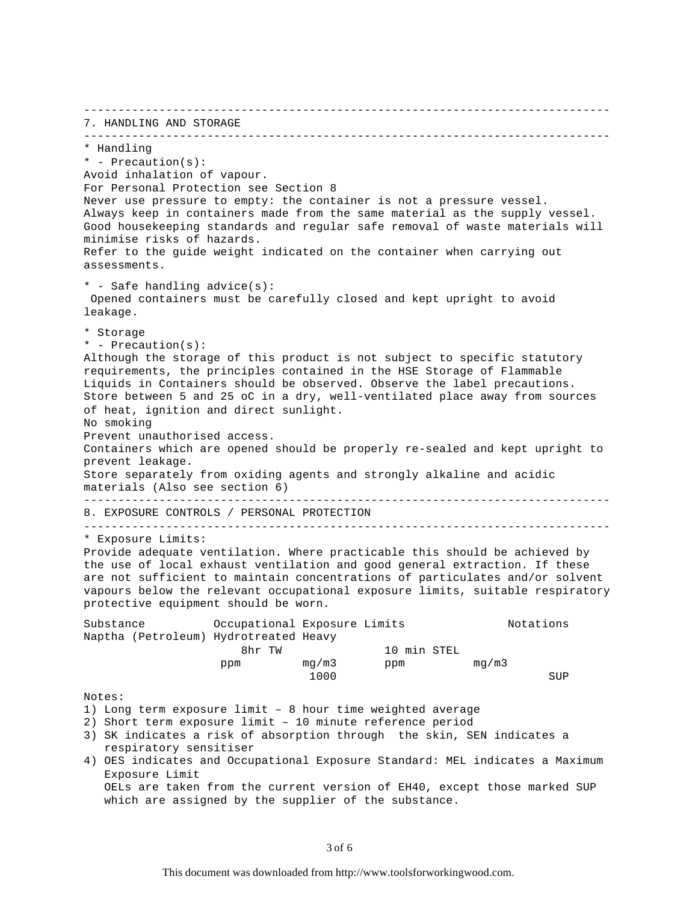----------------------------------------------------------------------------- 7. HANDLING AND STORAGE ----------------------------------------------------------------------------- \* Handling \* - Precaution(s): Avoid inhalation of vapour. For Personal Protection see Section 8 Never use pressure to empty: the container is not a pressure vessel. Always keep in containers made from the same material as the supply vessel. Good housekeeping standards and regular safe removal of waste materials will minimise risks of hazards. Refer to the guide weight indicated on the container when carrying out assessments. \* - Safe handling advice(s): Opened containers must be carefully closed and kept upright to avoid leakage. \* Storage \* - Precaution(s): Although the storage of this product is not subject to specific statutory requirements, the principles contained in the HSE Storage of Flammable Liquids in Containers should be observed. Observe the label precautions. Store between 5 and 25 oC in a dry, well-ventilated place away from sources of heat, ignition and direct sunlight. No smoking Prevent unauthorised access. Containers which are opened should be properly re-sealed and kept upright to prevent leakage. Store separately from oxiding agents and strongly alkaline and acidic materials (Also see section 6) ----------------------------------------------------------------------------- 8. EXPOSURE CONTROLS / PERSONAL PROTECTION ----------------------------------------------------------------------------- \* Exposure Limits: Provide adequate ventilation. Where practicable this should be achieved by the use of local exhaust ventilation and good general extraction. If these are not sufficient to maintain concentrations of particulates and/or solvent vapours below the relevant occupational exposure limits, suitable respiratory protective equipment should be worn. Substance Occupational Exposure Limits Notations Naptha (Petroleum) Hydrotreated Heavy 8hr TW 10 min STEL ppm mg/m3 ppm mg/m3 the control of the control of the control of the control of the control of the control of the control of the c<br>- All of the control of the control of the control of the control of the control of the control of the control Notes: 1) Long term exposure limit – 8 hour time weighted average 2) Short term exposure limit – 10 minute reference period 3) SK indicates a risk of absorption through the skin, SEN indicates a respiratory sensitiser 4) OES indicates and Occupational Exposure Standard: MEL indicates a Maximum Exposure Limit OELs are taken from the current version of EH40, except those marked SUP which are assigned by the supplier of the substance.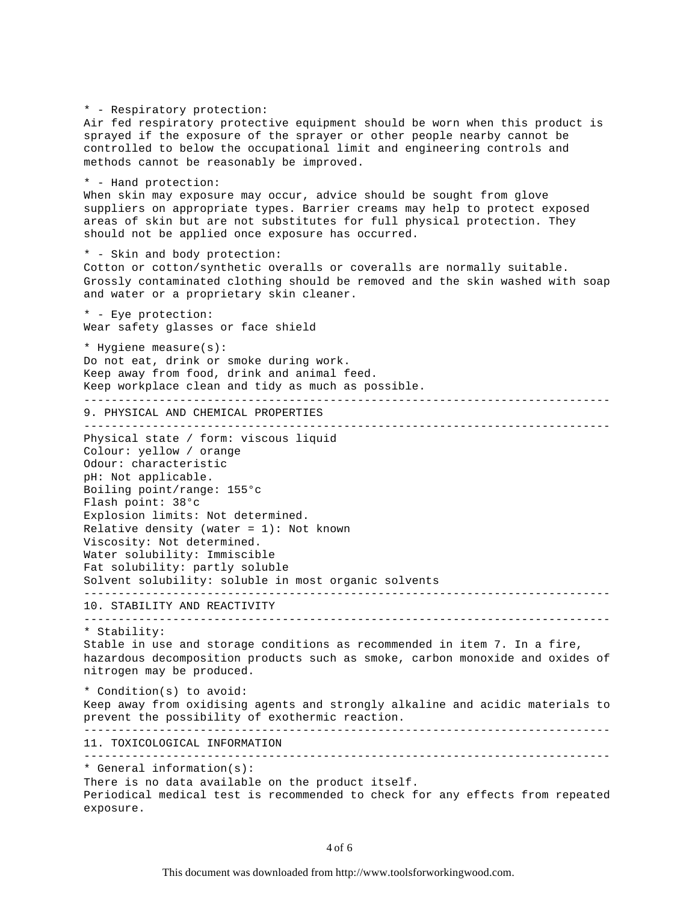\* - Respiratory protection: Air fed respiratory protective equipment should be worn when this product is sprayed if the exposure of the sprayer or other people nearby cannot be controlled to below the occupational limit and engineering controls and methods cannot be reasonably be improved. \* - Hand protection: When skin may exposure may occur, advice should be sought from glove suppliers on appropriate types. Barrier creams may help to protect exposed areas of skin but are not substitutes for full physical protection. They should not be applied once exposure has occurred. \* - Skin and body protection: Cotton or cotton/synthetic overalls or coveralls are normally suitable. Grossly contaminated clothing should be removed and the skin washed with soap and water or a proprietary skin cleaner. \* - Eye protection: Wear safety glasses or face shield \* Hygiene measure(s): Do not eat, drink or smoke during work. Keep away from food, drink and animal feed. Keep workplace clean and tidy as much as possible. ----------------------------------------------------------------------------- 9. PHYSICAL AND CHEMICAL PROPERTIES ----------------------------------------------------------------------------- Physical state / form: viscous liquid Colour: yellow / orange Odour: characteristic pH: Not applicable. Boiling point/range: 155°c Flash point: 38°c Explosion limits: Not determined. Relative density (water =  $1$ ): Not known Viscosity: Not determined. Water solubility: Immiscible Fat solubility: partly soluble Solvent solubility: soluble in most organic solvents ----------------------------------------------------------------------------- 10. STABILITY AND REACTIVITY ----------------------------------------------------------------------------- \* Stability: Stable in use and storage conditions as recommended in item 7. In a fire, hazardous decomposition products such as smoke, carbon monoxide and oxides of nitrogen may be produced. \* Condition(s) to avoid: Keep away from oxidising agents and strongly alkaline and acidic materials to prevent the possibility of exothermic reaction. ----------------------------------------------------------------------------- 11. TOXICOLOGICAL INFORMATION ----------------------------------------------------------------------------- \* General information(s): There is no data available on the product itself. Periodical medical test is recommended to check for any effects from repeated exposure.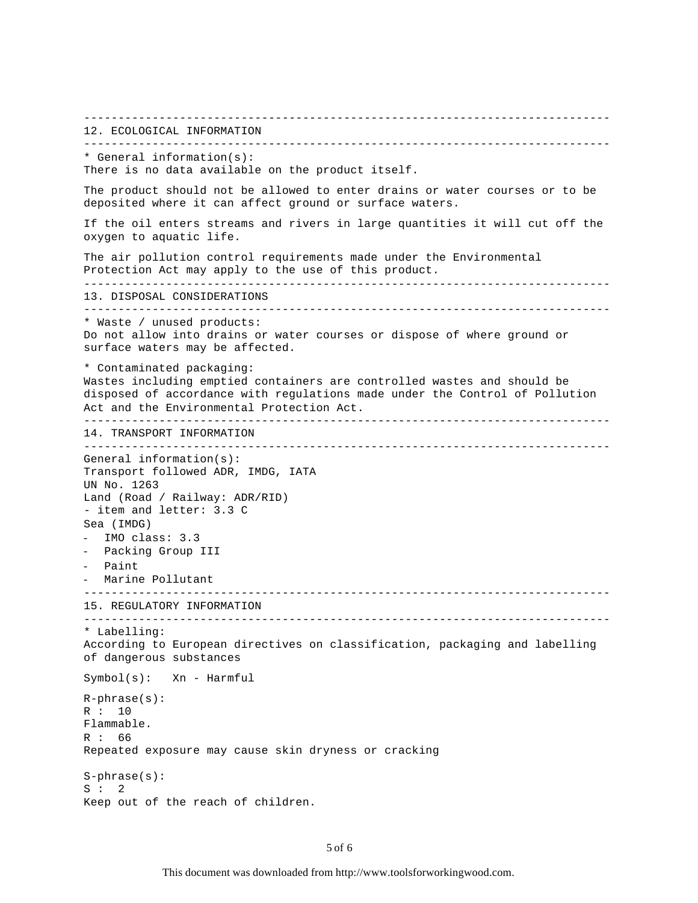----------------------------------------------------------------------------- 12. ECOLOGICAL INFORMATION ----------------------------------------------------------------------------- \* General information(s): There is no data available on the product itself. The product should not be allowed to enter drains or water courses or to be deposited where it can affect ground or surface waters. If the oil enters streams and rivers in large quantities it will cut off the oxygen to aquatic life. The air pollution control requirements made under the Environmental Protection Act may apply to the use of this product. ----------------------------------------------------------------------------- 13. DISPOSAL CONSIDERATIONS ----------------------------------------------------------------------------- \* Waste / unused products: Do not allow into drains or water courses or dispose of where ground or surface waters may be affected. \* Contaminated packaging: Wastes including emptied containers are controlled wastes and should be disposed of accordance with regulations made under the Control of Pollution Act and the Environmental Protection Act. ----------------------------------------------------------------------------- 14. TRANSPORT INFORMATION ----------------------------------------------------------------------------- General information(s): Transport followed ADR, IMDG, IATA UN No. 1263 Land (Road / Railway: ADR/RID) - item and letter: 3.3 C Sea (IMDG) - IMO class: 3.3 Packing Group III Paint - Marine Pollutant ----------------------------------------------------------------------------- 15. REGULATORY INFORMATION ----------------------------------------------------------------------------- \* Labelling: According to European directives on classification, packaging and labelling of dangerous substances Symbol(s): Xn - Harmful R-phrase(s): R : 10 Flammable. R : 66 Repeated exposure may cause skin dryness or cracking S-phrase(s):  $S : 2$ Keep out of the reach of children.